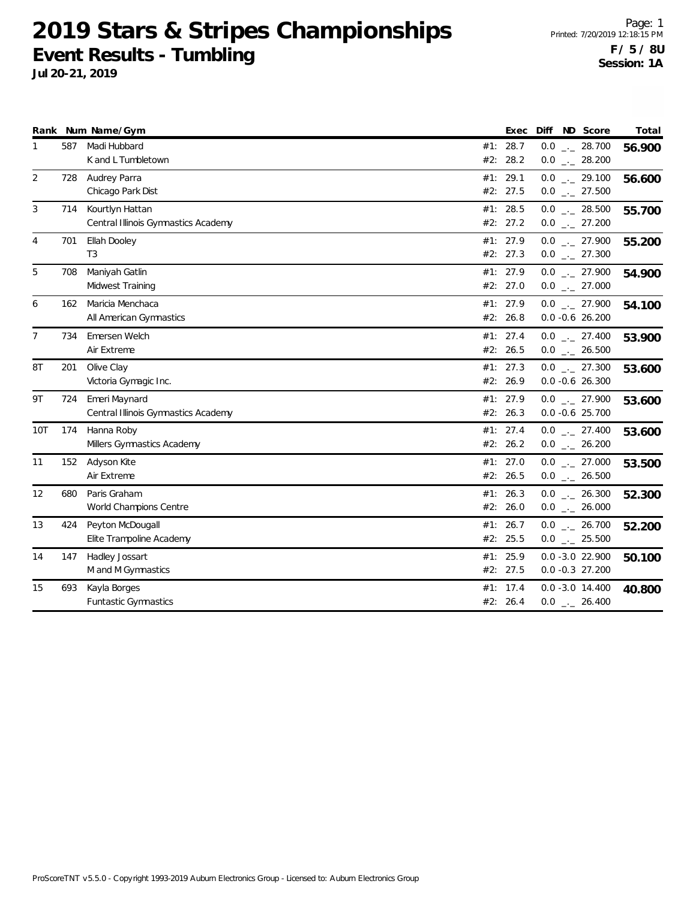|                |     | Rank Num Name/Gym                                      |     | Exec                   | Diff ND Score                             | Total  |
|----------------|-----|--------------------------------------------------------|-----|------------------------|-------------------------------------------|--------|
| 1              | 587 | Madi Hubbard<br>K and L Tumbletown                     | #2: | #1: 28.7<br>28.2       | $0.0$ _ 28.700<br>$0.0$ _ 28.200          | 56.900 |
| 2              | 728 | Audrey Parra<br>Chicago Park Dist                      |     | #1: 29.1<br>#2: 27.5   | $0.0$ _ 29.100<br>$0.0$ _._ 27.500        | 56.600 |
| 3              | 714 | Kourtlyn Hattan<br>Central Illinois Gymnastics Academy |     | #1: 28.5<br>#2: 27.2   | $0.0$ _ 28.500<br>$0.0$ _ 27.200          | 55.700 |
| 4              | 701 | Ellah Dooley<br>T <sub>3</sub>                         | #1: | 27.9<br>#2: 27.3       | $0.0$ _ 27.900<br>$0.0$ _ 27.300          | 55.200 |
| 5              | 708 | Maniyah Gatlin<br>Midwest Training                     |     | #1: 27.9<br>#2: 27.0   | $0.0$ _ 27.900<br>$0.0$ _._ 27.000        | 54.900 |
| 6              | 162 | Maricia Menchaca<br>All American Gymnastics            |     | #1: 27.9<br>#2: 26.8   | $0.0$ _ 27.900<br>$0.0 - 0.6 26.200$      | 54.100 |
| $\overline{7}$ | 734 | Emersen Welch<br>Air Extreme                           |     | #1: 27.4<br>#2: 26.5   | $0.0$ _ 27.400<br>$0.0$ _ 26.500          | 53.900 |
| 8T             | 201 | Olive Clay<br>Victoria Gymagic Inc.                    |     | #1: 27.3<br>#2: 26.9   | $0.0$ _ 27.300<br>$0.0 -0.6 26.300$       | 53.600 |
| 9T             | 724 | Emeri Maynard<br>Central Illinois Gymnastics Academy   |     | #1: 27.9<br>#2: 26.3   | $0.0$ $_{-}$ 27.900<br>$0.0 - 0.6$ 25.700 | 53.600 |
| 10T            | 174 | Hanna Roby<br>Millers Gymnastics Academy               |     | #1: 27.4<br>#2: 26.2   | $0.0$ _ 27.400<br>$0.0$ _ 26.200          | 53.600 |
| 11             | 152 | Adyson Kite<br>Air Extreme                             |     | #1: $27.0$<br>#2: 26.5 | $0.0$ _ 27.000<br>$0.0$ _ 26.500          | 53.500 |
| 12             | 680 | Paris Graham<br>World Champions Centre                 |     | #1: 26.3<br>#2: 26.0   | $0.0$ _ 26.300<br>$0.0$ _ 26.000          | 52.300 |
| 13             | 424 | Peyton McDougall<br>Elite Trampoline Academy           |     | #1: 26.7<br>#2: 25.5   | $0.0$ _ 26.700<br>$0.0$ _ 25.500          | 52.200 |
| 14             | 147 | Hadley Jossart<br>M and M Gymnastics                   |     | #1: 25.9<br>#2: 27.5   | $0.0 - 3.0 22.900$<br>$0.0 - 0.3$ 27.200  | 50.100 |
| 15             | 693 | Kayla Borges<br>Funtastic Gymnastics                   | #1: | 17.4<br>#2: 26.4       | $0.0 - 3.0 14.400$<br>$0.0$ _ 26.400      | 40.800 |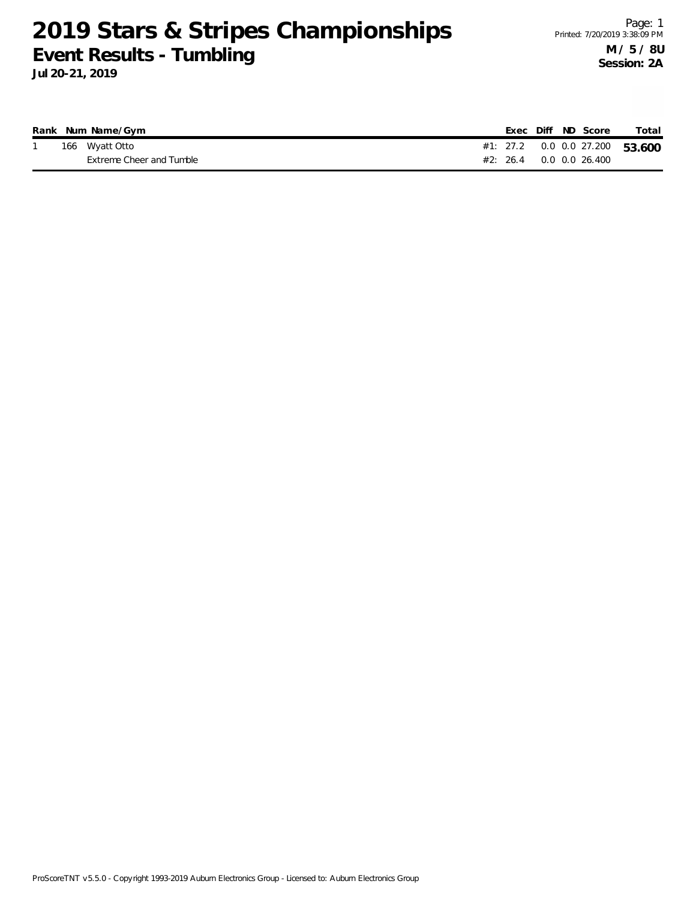|  | Rank Num Name/Gym        |  |  | Exec Diff ND Score          | Total                              |
|--|--------------------------|--|--|-----------------------------|------------------------------------|
|  | 166 Wyatt Otto           |  |  |                             | #1: 27.2  0.0  0.0  27.200  53.600 |
|  | Extreme Cheer and Tumble |  |  | $\#2$ : 26.4 0.0 0.0 26.400 |                                    |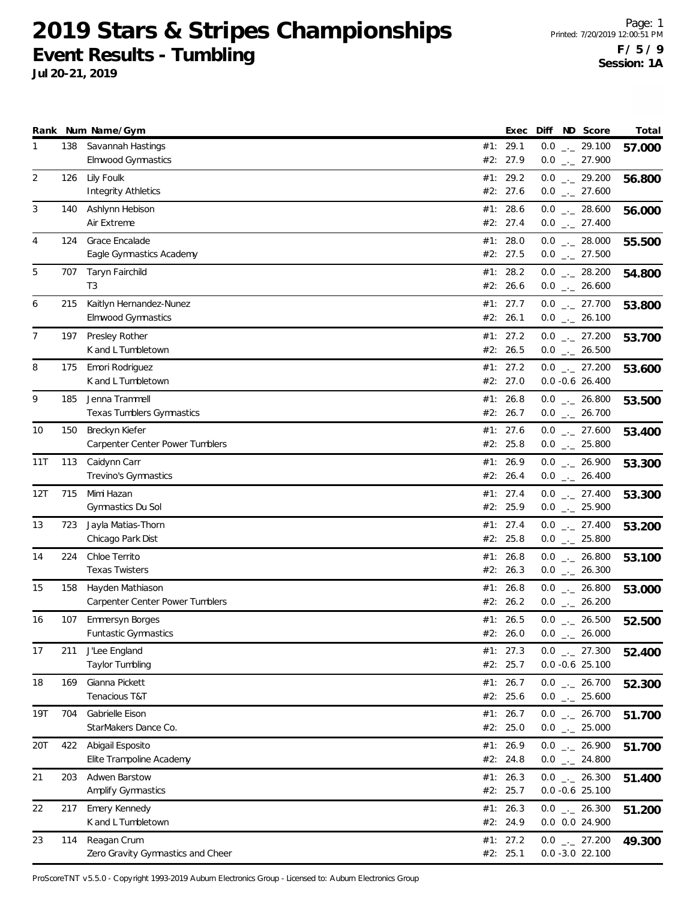**Jul 20-21, 2019**

|     |     | Rank Num Name/Gym                                    |     | Exec                   |     | Diff ND Score                                                           | Total  |
|-----|-----|------------------------------------------------------|-----|------------------------|-----|-------------------------------------------------------------------------|--------|
| 1   | 138 | Savannah Hastings<br>Elmwood Gymnastics              |     | #1: 29.1<br>#2: 27.9   |     | $0.0$ _ 29.100<br>$0.0$ $_{-}$ 27.900                                   | 57.000 |
| 2   | 126 | Lily Foulk<br><b>Integrity Athletics</b>             |     | #1: 29.2<br>#2: 27.6   |     | $0.0$ $_{\leftarrow}$ 29.200<br>$0.0$ _ 27.600                          | 56.800 |
| 3   | 140 | Ashlynn Hebison<br>Air Extreme                       |     | #1: 28.6<br>#2: 27.4   |     | $0.0$ _ 28.600<br>$0.0$ _ 27.400                                        | 56.000 |
| 4   | 124 | Grace Encalade<br>Eagle Gymnastics Academy           |     | #1: $28.0$<br>#2: 27.5 |     | $0.0$ _ 28.000<br>$0.0$ $_{-}$ 27.500                                   | 55.500 |
| 5   | 707 | Taryn Fairchild<br>T <sub>3</sub>                    |     | #1: 28.2<br>#2: 26.6   |     | $0.0$ _._ 28.200<br>$0.0$ _ 26.600                                      | 54.800 |
| 6   | 215 | Kaitlyn Hernandez-Nunez<br><b>Elmwood Gymnastics</b> |     | #1: 27.7<br>#2: 26.1   |     | $0.0$ $_{-}$ 27.700<br>$0.0$ _ 26.100                                   | 53.800 |
| 7   | 197 | Presley Rother<br>K and L Tumbletown                 |     | #1: 27.2<br>#2: 26.5   |     | $0.0$ $_{\leftarrow}$ 27.200<br>$0.0$ _ 26.500                          | 53.700 |
| 8   | 175 | Emori Rodriguez<br>K and L Tumbletown                |     | #1: 27.2<br>#2: 27.0   |     | $0.0$ $_{-}$ 27.200<br>$0.0 - 0.6$ 26.400                               | 53.600 |
| 9   | 185 | Jenna Trammell<br>Texas Tumblers Gymnastics          |     | #1: 26.8<br>#2: 26.7   |     | $0.0$ _ 26.800<br>$0.0$ _ 26.700                                        | 53.500 |
| 10  | 150 | Breckyn Kiefer<br>Carpenter Center Power Tumblers    |     | #1: 27.6<br>#2: 25.8   |     | $0.0$ _ 27.600<br>$0.0$ _ 25.800                                        | 53.400 |
| 11T | 113 | Caidynn Carr<br>Trevino's Gymnastics                 |     | #1: 26.9<br>#2: 26.4   |     | $0.0$ $_{-}$ 26.900<br>$0.0$ _ 26.400                                   | 53.300 |
| 12T | 715 | Mimi Hazan<br>Gymnastics Du Sol                      | #1: | 27.4<br>#2: 25.9       |     | $0.0$ $_{-}$ 27.400<br>$0.0$ _ 25.900                                   | 53.300 |
| 13  | 723 | Jayla Matias-Thorn<br>Chicago Park Dist              |     | #1: 27.4<br>#2: 25.8   |     | $0.0$ _._ 27.400<br>$0.0$ _ 25.800                                      | 53.200 |
| 14  | 224 | Chloe Territo<br><b>Texas Twisters</b>               |     | #1: 26.8<br>#2: 26.3   |     | $0.0$ _ 26.800<br>$0.0$ _ 26.300                                        | 53.100 |
| 15  | 158 | Hayden Mathiason<br>Carpenter Center Power Tumblers  |     | #1: 26.8<br>#2: 26.2   |     | $0.0$ _ 26.800<br>$0.0$ _ 26.200                                        | 53.000 |
| 16  | 107 | Emmersyn Borges<br><b>Funtastic Gymnastics</b>       |     | #1: 26.5<br>#2: 26.0   | 0.0 | $0.0$ _ 26.500<br>26.000<br>$\mathcal{L}^{\mu}$ and $\mathcal{L}^{\mu}$ | 52.500 |
| 17  | 211 | J'Lee England<br>Taylor Tumbling                     |     | #1: 27.3<br>#2: 25.7   |     | $0.0$ $_{-}$ 27.300<br>$0.0 -0.6$ 25.100                                | 52.400 |
| 18  | 169 | Gianna Pickett<br>Tenacious T&T                      |     | #1: $26.7$<br>#2: 25.6 |     | $0.0$ _ 26.700<br>$0.0$ _ 25.600                                        | 52.300 |
| 19T | 704 | Gabrielle Eison<br>StarMakers Dance Co.              |     | #1: 26.7<br>#2: 25.0   |     | $0.0$ _ 26.700<br>$0.0$ _ 25.000                                        | 51.700 |
| 20T | 422 | Abigail Esposito<br>Elite Trampoline Academy         |     | #1: 26.9<br>#2: 24.8   |     | $0.0$ $_{-}$ 26.900<br>$0.0$ _ 24.800                                   | 51.700 |
| 21  | 203 | Adwen Barstow<br>Amplify Gymnastics                  |     | #1: 26.3<br>#2: 25.7   |     | $0.0$ _ 26.300<br>$0.0 - 0.6$ 25.100                                    | 51.400 |
| 22  | 217 | Emery Kennedy<br>K and L Tumbletown                  |     | #1: 26.3<br>#2: 24.9   |     | $0.0$ _ 26.300<br>0.0 0.0 24.900                                        | 51.200 |
| 23  | 114 | Reagan Crum<br>Zero Gravity Gymnastics and Cheer     |     | #1: 27.2<br>#2: 25.1   |     | $0.0$ _ 27.200<br>$0.0 - 3.0 22.100$                                    | 49.300 |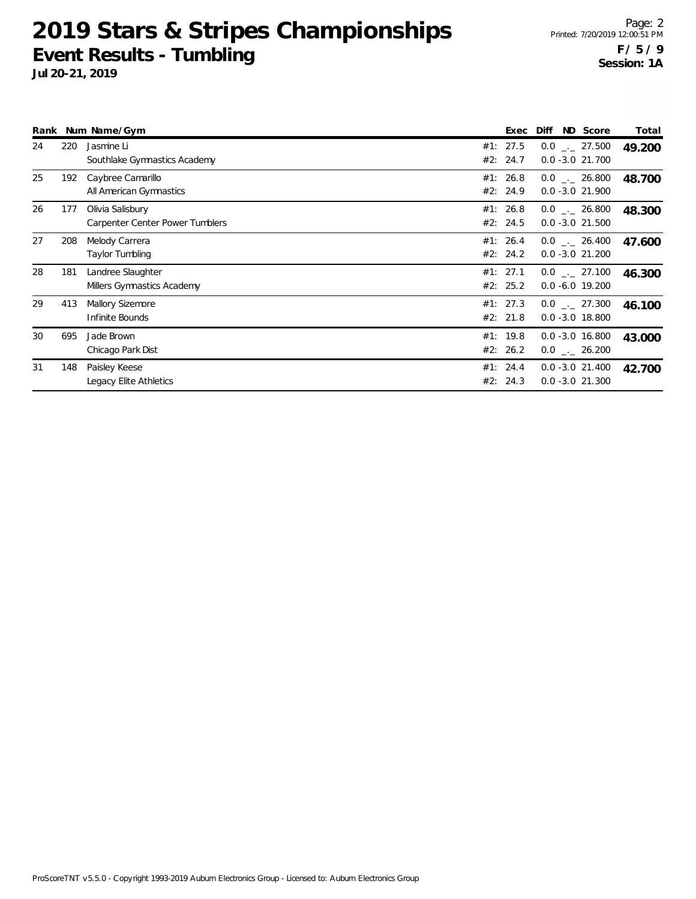|    |     | Rank Num Name/Gym                                   | Exec                 | ND Score<br><b>Diff</b>                   | Total  |
|----|-----|-----------------------------------------------------|----------------------|-------------------------------------------|--------|
| 24 | 220 | Jasmine Li<br>Southlake Gymnastics Academy          | #1: 27.5<br>#2: 24.7 | $0.0$ $_{-}$ 27.500<br>$0.0 - 3.0 21.700$ | 49.200 |
| 25 | 192 | Caybree Camarillo<br>All American Gymnastics        | #1: 26.8<br>#2: 24.9 | $0.0$ _._ 26.800<br>$0.0 - 3.0 21.900$    | 48.700 |
| 26 | 177 | Olivia Salisbury<br>Carpenter Center Power Tumblers | #1: 26.8<br>#2: 24.5 | $0.0$ _._ 26.800<br>$0.0 - 3.0 21.500$    | 48.300 |
| 27 | 208 | Melody Carrera<br>Taylor Tumbling                   | #1: 26.4<br>#2: 24.2 | $0.0$ _._ 26.400<br>$0.0 - 3.0 21.200$    | 47.600 |
| 28 | 181 | Landree Slaughter<br>Millers Gymnastics Academy     | #1: 27.1<br>#2: 25.2 | $0.0$ _._ 27.100<br>$0.0 - 6.0 19.200$    | 46.300 |
| 29 | 413 | Mallory Sizemore<br>Infinite Bounds                 | #1: 27.3<br>#2: 21.8 | $0.0$ _._ 27.300<br>$0.0 - 3.0 18.800$    | 46.100 |
| 30 | 695 | Jade Brown<br>Chicago Park Dist                     | #1: 19.8<br>#2: 26.2 | $0.0 - 3.0 16.800$<br>$0.0$ _._ 26.200    | 43.000 |
| 31 | 148 | Paisley Keese<br>Legacy Elite Athletics             | #1: 24.4<br>#2: 24.3 | $0.0 - 3.0 21.400$<br>$0.0 - 3.0 21.300$  | 42.700 |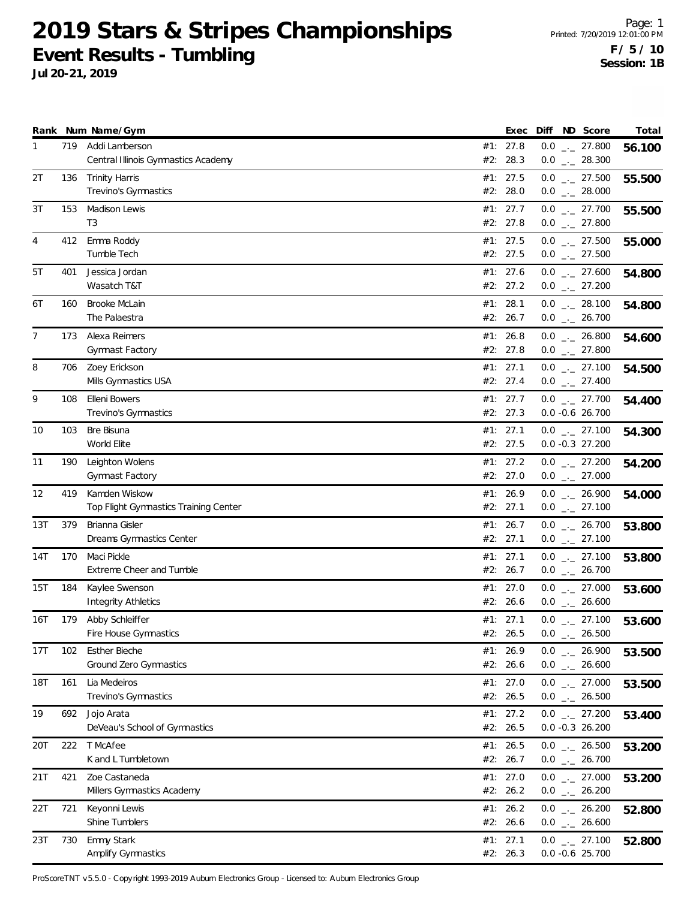**Jul 20-21, 2019**

|            |     | Rank Num Name/Gym                                      |     | Exec                   | Diff ND Score                              | Total  |
|------------|-----|--------------------------------------------------------|-----|------------------------|--------------------------------------------|--------|
| 1          | 719 | Addi Lamberson<br>Central Illinois Gymnastics Academy  |     | #1: 27.8<br>#2: 28.3   | $0.0$ _ 27.800<br>$0.0$ _ 28.300           | 56.100 |
| 2T         | 136 | <b>Trinity Harris</b><br>Trevino's Gymnastics          |     | #1: 27.5<br>#2: 28.0   | $0.0$ $_{-}$ 27.500<br>$0.0$ _ 28.000      | 55.500 |
| 3T         | 153 | Madison Lewis<br>T3                                    |     | #1: 27.7<br>#2: 27.8   | $0.0$ _ 27.700<br>$0.0$ _ 27.800           | 55.500 |
| 4          | 412 | Emma Roddy<br>Tumble Tech                              |     | #1: 27.5<br>#2: 27.5   | $0.0$ _ 27.500<br>$0.0$ _ 27.500           | 55.000 |
| 5T         | 401 | Jessica Jordan<br>Wasatch T&T                          |     | #1: 27.6<br>#2: 27.2   | $0.0$ _ 27.600<br>$0.0$ $_{-}$ 27.200      | 54.800 |
| 6T         | 160 | Brooke McLain<br>The Palaestra                         |     | #1: 28.1<br>#2: 26.7   | $0.0$ _ 28.100<br>$0.0$ _ 26.700           | 54.800 |
| 7          | 173 | Alexa Reimers<br>Gymnast Factory                       |     | #1: 26.8<br>#2: 27.8   | $0.0$ _ 26.800<br>$0.0$ $_{-}$ 27.800      | 54.600 |
| 8          | 706 | Zoey Erickson<br>Mills Gymnastics USA                  |     | #1: 27.1<br>#2: 27.4   | $0.0$ _ 27.100<br>$0.0$ _ 27.400           | 54.500 |
| 9          | 108 | Elleni Bowers<br>Trevino's Gymnastics                  |     | #1: 27.7<br>#2: 27.3   | $0.0$ _ 27.700<br>$0.0 -0.6$ 26.700        | 54.400 |
| 10         | 103 | Bre Bisuna<br>World Elite                              |     | #1: 27.1<br>#2: 27.5   | $0.0$ $_{-}$ 27.100<br>$0.0 - 0.3$ 27.200  | 54.300 |
| 11         | 190 | Leighton Wolens<br>Gymnast Factory                     |     | #1: 27.2<br>#2: 27.0   | $0.0$ _._ 27.200<br>$0.0$ _ 27.000         | 54.200 |
| 12         | 419 | Kamden Wiskow<br>Top Flight Gymnastics Training Center | #1: | 26.9<br>#2: 27.1       | $0.0$ $_{-}$ 26.900<br>$0.0$ $_{-}$ 27.100 | 54.000 |
| 13T        | 379 | Brianna Gisler<br>Dreams Gymnastics Center             |     | #1: 26.7<br>#2: 27.1   | $0.0$ _._ 26.700<br>$0.0$ _ 27.100         | 53.800 |
| 14T        | 170 | Maci Pickle<br><b>Extreme Cheer and Tumble</b>         |     | #1: 27.1<br>#2: 26.7   | $0.0$ $_{-}$ 27.100<br>$0.0$ _ 26.700      | 53.800 |
| 15T        | 184 | Kaylee Swenson<br><b>Integrity Athletics</b>           |     | #1: 27.0<br>#2: 26.6   | $0.0$ _ 27.000<br>$0.0$ _ 26.600           | 53.600 |
| 16T        | 179 | Abby Schleiffer<br>Fire House Gymnastics               |     | #1: 27.1<br>#2: 26.5   | $0.0$ _ 27.100<br>$0.0$ _ 26.500           | 53.600 |
| 17T        | 102 | <b>Esther Bieche</b><br>Ground Zero Gymnastics         |     | #1: 26.9<br>#2: 26.6   | $0.0$ _ 26.900<br>$0.0$ _ 26.600           | 53.500 |
| <b>18T</b> | 161 | Lia Medeiros<br>Trevino's Gymnastics                   |     | #1: $27.0$<br>#2: 26.5 | $0.0$ _ 27.000<br>$0.0$ _ 26.500           | 53.500 |
| 19         |     | 692 Jojo Arata<br>DeVeau's School of Gymnastics        |     | #1: 27.2<br>#2: 26.5   | $0.0$ _ 27.200<br>$0.0 - 0.3 26.200$       | 53.400 |
| 20T        | 222 | T McAfee<br>K and L Tumbletown                         |     | #1: 26.5<br>#2: 26.7   | $0.0$ _ 26.500<br>$0.0$ _ 26.700           | 53.200 |
| 21T        | 421 | Zoe Castaneda<br>Millers Gymnastics Academy            |     | #1: $27.0$<br>#2: 26.2 | $0.0$ _ 27.000<br>$0.0$ _ 26.200           | 53.200 |
| 22T        | 721 | Keyonni Lewis<br>Shine Tumblers                        |     | #1: $26.2$<br>#2: 26.6 | $0.0$ _ 26.200<br>$0.0$ _ 26.600           | 52.800 |
| 23T        | 730 | Emmy Stark<br>Amplify Gymnastics                       |     | #1: 27.1<br>#2: 26.3   | $0.0$ _ 27.100<br>$0.0 -0.6$ 25.700        | 52.800 |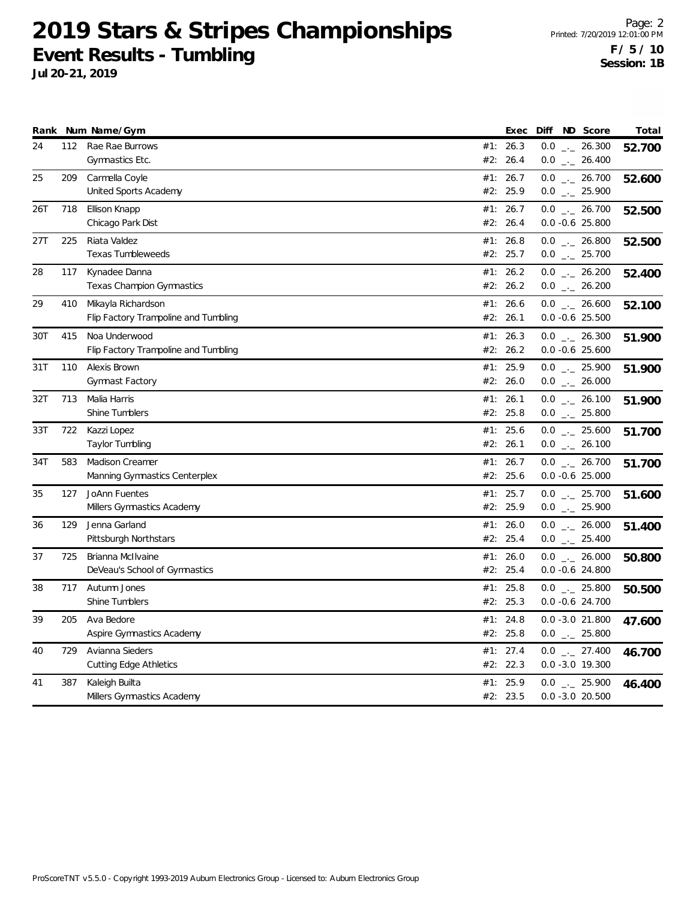|     |     | Rank Num Name/Gym                                          |     | Exec                 | Diff | ND Score                               | Total  |
|-----|-----|------------------------------------------------------------|-----|----------------------|------|----------------------------------------|--------|
| 24  | 112 | Rae Rae Burrows<br>Gymnastics Etc.                         |     | #1: 26.3<br>#2: 26.4 |      | $0.0$ _ 26.300<br>$0.0$ _ 26.400       | 52.700 |
| 25  | 209 | Carmella Coyle<br>United Sports Academy                    | #1: | 26.7<br>#2: 25.9     |      | $0.0$ _ 26.700<br>$0.0$ _ 25.900       | 52.600 |
| 26T | 718 | Ellison Knapp<br>Chicago Park Dist                         |     | #1: 26.7<br>#2: 26.4 |      | $0.0$ _ 26.700<br>$0.0 - 0.6$ 25.800   | 52.500 |
| 27T | 225 | Riata Valdez<br><b>Texas Tumbleweeds</b>                   |     | #1: 26.8<br>#2: 25.7 |      | $0.0$ _ 26.800<br>$0.0$ _ 25.700       | 52.500 |
| 28  | 117 | Kynadee Danna<br><b>Texas Champion Gymnastics</b>          |     | #1: 26.2<br>#2: 26.2 |      | $0.0$ _ 26.200<br>$0.0$ _ 26.200       | 52.400 |
| 29  | 410 | Mikayla Richardson<br>Flip Factory Trampoline and Tumbling |     | #1: 26.6<br>#2: 26.1 |      | $0.0$ _ 26.600<br>$0.0 - 0.6$ 25.500   | 52.100 |
| 30T | 415 | Noa Underwood<br>Flip Factory Trampoline and Tumbling      |     | #1: 26.3<br>#2: 26.2 |      | $0.0$ _._ 26.300<br>$0.0 - 0.6$ 25.600 | 51.900 |
| 31T | 110 | Alexis Brown<br>Gymnast Factory                            |     | #1: 25.9<br>#2: 26.0 |      | $0.0$ _ 25.900<br>$0.0$ _ 26.000       | 51.900 |
| 32T | 713 | Malia Harris<br>Shine Tumblers                             |     | #1: 26.1<br>#2: 25.8 |      | $0.0$ _ 26.100<br>$0.0$ _._ 25.800     | 51.900 |
| 33T | 722 | Kazzi Lopez<br>Taylor Tumbling                             |     | #1: 25.6<br>#2: 26.1 |      | $0.0$ _ 25.600<br>$0.0$ _ 26.100       | 51.700 |
| 34T | 583 | Madison Creamer<br>Manning Gymnastics Centerplex           | #1: | 26.7<br>#2: 25.6     |      | $0.0$ _ 26.700<br>$0.0 - 0.6$ 25.000   | 51.700 |
| 35  | 127 | JoAnn Fuentes<br>Millers Gymnastics Academy                | #1: | 25.7<br>#2: 25.9     |      | $0.0$ _ 25.700<br>$0.0$ _ 25.900       | 51.600 |
| 36  | 129 | Jenna Garland<br>Pittsburgh Northstars                     | #1: | 26.0<br>#2: 25.4     |      | $0.0$ _ 26.000<br>$0.0$ _ 25.400       | 51.400 |
| 37  | 725 | Brianna McIlvaine<br>DeVeau's School of Gymnastics         | #1: | 26.0<br>#2: 25.4     |      | $0.0$ _ 26.000<br>$0.0 - 0.6$ 24.800   | 50.800 |
| 38  | 717 | Autumn Jones<br>Shine Tumblers                             |     | #1: 25.8<br>#2: 25.3 |      | $0.0$ _ 25.800<br>0.0 -0.6 24.700      | 50.500 |
| 39  | 205 | Ava Bedore<br>Aspire Gymnastics Academy                    |     | #1: 24.8<br>#2: 25.8 |      | $0.0 - 3.0 21.800$<br>$0.0$ _ 25.800   | 47.600 |
| 40  | 729 | Avianna Sieders<br><b>Cutting Edge Athletics</b>           |     | #1: 27.4<br>#2: 22.3 |      | $0.0$ _ 27.400<br>$0.0 - 3.0 19.300$   | 46.700 |
| 41  | 387 | Kaleigh Builta<br>Millers Gymnastics Academy               |     | #1: 25.9<br>#2: 23.5 |      | $0.0$ _._ 25.900<br>$0.0 - 3.0 20.500$ | 46.400 |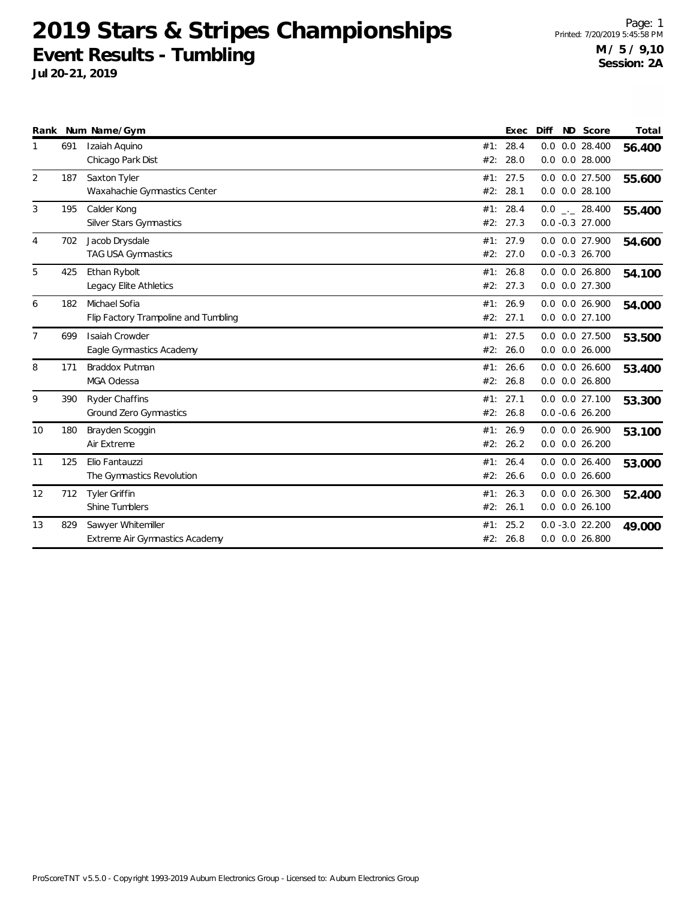| Rank |     | Num Name/Gym                         |     | Exec     | Diff | ND Score             | Total  |
|------|-----|--------------------------------------|-----|----------|------|----------------------|--------|
|      | 691 | Izaiah Aquino                        | #1: | 28.4     |      | $0.0$ $0.0$ 28.400   | 56.400 |
|      |     | Chicago Park Dist                    | #2: | 28.0     |      | $0.0$ $0.0$ 28.000   |        |
| 2    | 187 | Saxton Tyler                         | #1: | 27.5     |      | $0.0$ $0.0$ 27.500   | 55.600 |
|      |     | Waxahachie Gymnastics Center         | #2: | 28.1     |      | $0.0$ $0.0$ 28.100   |        |
| 3    | 195 | Calder Kong                          | #1: | 28.4     |      | $0.0$ _. 28.400      | 55.400 |
|      |     | Silver Stars Gymnastics              | #2: | 27.3     |      | $0.0 - 0.3 27.000$   |        |
| 4    | 702 | Jacob Drysdale                       | #1: | 27.9     |      | 0.0 0.0 27.900       | 54.600 |
|      |     | TAG USA Gymnastics                   | #2: | 27.0     |      | $0.0 - 0.3 26.700$   |        |
| 5    | 425 | Ethan Rybolt                         |     | #1: 26.8 |      | $0.0$ $0.0$ 26.800   | 54.100 |
|      |     | Legacy Elite Athletics               |     | #2: 27.3 |      | $0.0$ $0.0$ $27.300$ |        |
| 6    | 182 | Michael Sofia                        | #1: | 26.9     |      | $0.0$ $0.0$ 26.900   | 54.000 |
|      |     | Flip Factory Trampoline and Tumbling | #2: | 27.1     |      | $0.0$ $0.0$ $27.100$ |        |
|      | 699 | <b>Isaiah Crowder</b>                | #1: | 27.5     |      | $0.0$ $0.0$ 27.500   | 53.500 |
|      |     | Eagle Gymnastics Academy             | #2: | 26.0     |      | $0.0$ $0.0$ 26.000   |        |
| 8    | 171 | Braddox Putman                       | #1: | 26.6     |      | $0.0$ $0.0$ 26.600   | 53.400 |
|      |     | MGA Odessa                           | #2: | 26.8     |      | $0.0$ $0.0$ 26.800   |        |
| 9    | 390 | <b>Ryder Chaffins</b>                | #1: | 27.1     |      | $0.0$ $0.0$ $27.100$ | 53.300 |
|      |     | Ground Zero Gymnastics               |     | #2: 26.8 |      | $0.0 - 0.6 26.200$   |        |
| 10   | 180 | Brayden Scoggin                      |     | #1: 26.9 |      | 0.0 0.0 26.900       | 53.100 |
|      |     | Air Extreme                          | #2: | 26.2     |      | $0.0$ $0.0$ $26.200$ |        |
| 11   | 125 | Elio Fantauzzi                       | #1: | 26.4     |      | $0.0$ $0.0$ $26.400$ | 53.000 |
|      |     | The Gymnastics Revolution            | #2: | 26.6     |      | $0.0$ $0.0$ $26.600$ |        |
| 12   | 712 | Tyler Griffin                        | #1: | 26.3     |      | $0.0$ $0.0$ $26.300$ | 52.400 |
|      |     | Shine Tumblers                       | #2: | 26.1     |      | $0.0$ $0.0$ 26.100   |        |
| 13   | 829 | Sawyer Whitemiller                   | #1: | 25.2     |      | $0.0 - 3.0 22.200$   | 49.000 |
|      |     | Extreme Air Gymnastics Academy       | #2: | 26.8     |      | $0.0$ $0.0$ 26.800   |        |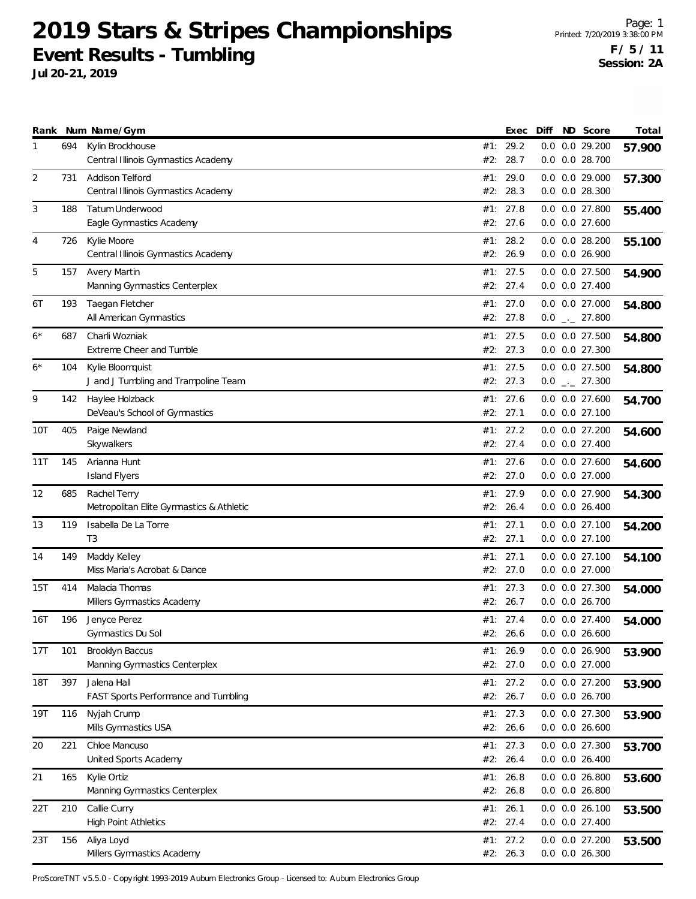**Jul 20-21, 2019**

|      |     | Rank Num Name/Gym                                          |     | Exec                 | Diff | ND Score                             | Total  |
|------|-----|------------------------------------------------------------|-----|----------------------|------|--------------------------------------|--------|
| 1    | 694 | Kylin Brockhouse<br>Central Illinois Gymnastics Academy    | #2: | #1: 29.2<br>28.7     |      | 0.0 0.0 29.200<br>0.0 0.0 28.700     | 57.900 |
| 2    | 731 | Addison Telford                                            |     | #1: 29.0             |      | $0.0$ $0.0$ 29.000                   | 57.300 |
|      |     | Central Illinois Gymnastics Academy                        |     | #2: 28.3             |      | 0.0 0.0 28.300                       |        |
| 3    | 188 | Tatum Underwood                                            |     | #1: $27.8$           |      | 0.0 0.0 27.800                       | 55.400 |
|      |     | Eagle Gymnastics Academy                                   |     | #2: 27.6             |      | 0.0 0.0 27.600                       |        |
| 4    | 726 | Kylie Moore<br>Central Illinois Gymnastics Academy         | #2: | #1: 28.2<br>26.9     |      | $0.0$ $0.0$ 28.200<br>0.0 0.0 26.900 | 55.100 |
| 5    | 157 | <b>Avery Martin</b>                                        |     | #1: 27.5             |      | $0.0$ $0.0$ 27.500                   | 54.900 |
|      |     | Manning Gymnastics Centerplex                              |     | #2: 27.4             |      | 0.0 0.0 27.400                       |        |
| 6T   | 193 | Taegan Fletcher                                            |     | #1: 27.0             |      | 0.0 0.0 27.000                       | 54.800 |
|      |     | All American Gymnastics                                    |     | #2: 27.8             |      | $0.0$ $_{-}$ 27.800                  |        |
| $6*$ | 687 | Charli Wozniak                                             |     | #1: 27.5             |      | 0.0 0.0 27.500                       | 54.800 |
|      |     | Extreme Cheer and Tumble                                   |     | #2: 27.3             |      | 0.0 0.0 27.300                       |        |
| $6*$ | 104 | Kylie Bloomquist<br>J and J Tumbling and Trampoline Team   |     | #1: 27.5<br>#2: 27.3 |      | $0.0$ $0.0$ 27.500<br>$0.0$ _ 27.300 | 54.800 |
| 9    | 142 | Haylee Holzback                                            |     | #1: 27.6             |      | $0.0$ $0.0$ 27.600                   |        |
|      |     | DeVeau's School of Gymnastics                              |     | #2: 27.1             |      | 0.0 0.0 27.100                       | 54.700 |
| 10T  | 405 | Paige Newland                                              |     | #1: 27.2             |      | $0.0$ $0.0$ 27.200                   | 54.600 |
|      |     | Skywalkers                                                 |     | #2: 27.4             |      | 0.0 0.0 27.400                       |        |
| 11T  | 145 | Arianna Hunt                                               |     | #1: 27.6             |      | $0.0$ $0.0$ 27.600                   | 54.600 |
|      |     | <b>Island Flyers</b>                                       |     | #2: 27.0             |      | 0.0 0.0 27.000                       |        |
| 12   | 685 | Rachel Terry                                               | #1: | 27.9                 |      | 0.0 0.0 27.900                       | 54.300 |
|      |     | Metropolitan Elite Gymnastics & Athletic                   | #2: | 26.4                 |      | $0.0$ $0.0$ 26.400                   |        |
| 13   | 119 | Isabella De La Torre<br>T <sub>3</sub>                     |     | #1: 27.1<br>#2: 27.1 |      | $0.0$ $0.0$ 27.100<br>0.0 0.0 27.100 | 54.200 |
| 14   | 149 | Maddy Kelley                                               |     | #1: 27.1             |      | $0.0$ $0.0$ 27.100                   |        |
|      |     | Miss Maria's Acrobat & Dance                               |     | #2: 27.0             |      | 0.0 0.0 27.000                       | 54.100 |
| 15T  | 414 | Malacia Thomas                                             |     | #1: 27.3             |      | 0.0 0.0 27.300                       | 54.000 |
|      |     | Millers Gymnastics Academy                                 | #2: | 26.7                 |      | 0.0 0.0 26.700                       |        |
| 16T  | 196 | Jenyce Perez                                               |     | #1: 27.4             |      | $0.0$ $0.0$ 27.400                   | 54.000 |
|      |     | Gymnastics Du Sol                                          |     | #2: 26.6             |      | $0.0$ $0.0$ 26.600                   |        |
| 17T  | 101 | Brooklyn Baccus                                            |     | #1: 26.9             |      | 0.0 0.0 26.900                       | 53.900 |
|      |     | Manning Gymnastics Centerplex                              |     | #2: 27.0             |      | $0.0$ $0.0$ 27.000                   |        |
| 18T  | 397 | Jalena Hall<br><b>FAST Sports Performance and Tumbling</b> |     | #1: 27.2<br>#2: 26.7 |      | 0.0 0.0 27.200<br>0.0 0.0 26.700     | 53.900 |
| 19T  | 116 | Nyjah Crump                                                |     | #1: 27.3             |      | 0.0 0.0 27.300                       |        |
|      |     | Mills Gymnastics USA                                       |     | #2: 26.6             |      | $0.0$ $0.0$ 26.600                   | 53.900 |
| 20   | 221 | Chloe Mancuso                                              |     | #1: 27.3             |      | 0.0 0.0 27.300                       | 53.700 |
|      |     | United Sports Academy                                      |     | #2: 26.4             |      | $0.0$ $0.0$ 26.400                   |        |
| 21   | 165 | Kylie Ortiz                                                |     | #1: 26.8             |      | $0.0$ $0.0$ 26.800                   | 53.600 |
|      |     | Manning Gymnastics Centerplex                              |     | #2: 26.8             |      | $0.0$ $0.0$ 26.800                   |        |
| 22T  | 210 | Callie Curry                                               |     | #1: 26.1             |      | $0.0$ $0.0$ 26.100                   | 53.500 |
|      |     | <b>High Point Athletics</b>                                |     | #2: 27.4             |      | 0.0 0.0 27.400                       |        |
| 23T  | 156 | Aliya Loyd<br>Millers Gymnastics Academy                   |     | #1: 27.2<br>#2: 26.3 |      | 0.0 0.0 27.200<br>0.0 0.0 26.300     | 53.500 |
|      |     |                                                            |     |                      |      |                                      |        |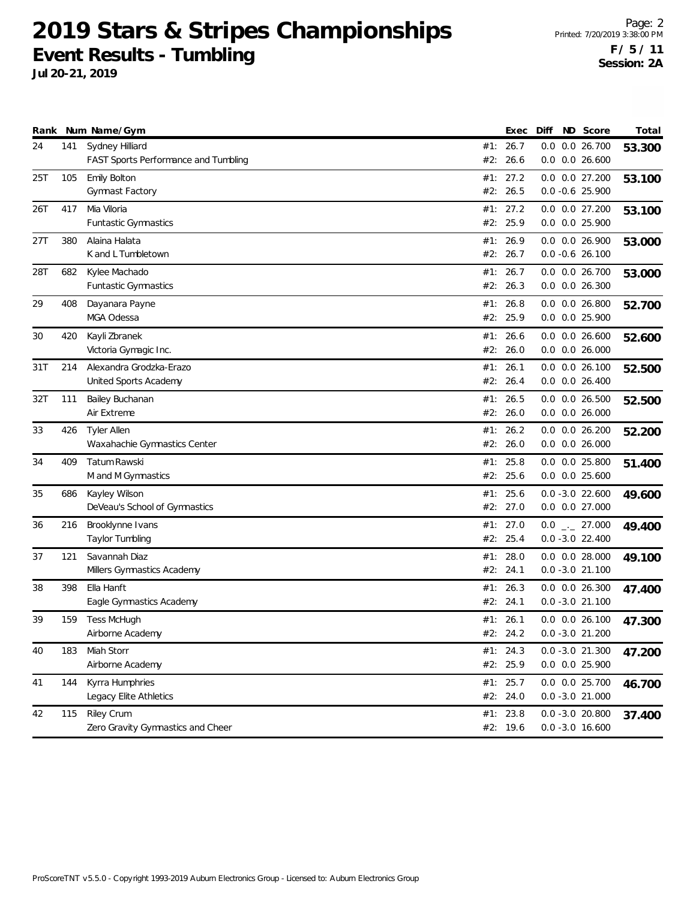| Rank |     | Num Name/Gym                              |     | Exec                 | Diff | ND Score                                 | Total  |
|------|-----|-------------------------------------------|-----|----------------------|------|------------------------------------------|--------|
| 24   | 141 | Sydney Hilliard                           |     | #1: 26.7             |      | 0.0 0.0 26.700                           | 53.300 |
|      |     | FAST Sports Performance and Tumbling      |     | #2: 26.6             |      | $0.0$ $0.0$ 26.600                       |        |
| 25T  | 105 | Emily Bolton                              | #1: | 27.2                 |      | 0.0 0.0 27.200                           | 53.100 |
|      |     | Gymnast Factory                           |     | #2: 26.5             |      | $0.0 - 0.6$ 25.900                       |        |
| 26T  | 417 | Mia Viloria                               |     | #1: 27.2             |      | 0.0 0.0 27.200                           | 53.100 |
|      |     | <b>Funtastic Gymnastics</b>               | #2: | 25.9                 |      | $0.0$ $0.0$ 25.900                       |        |
| 27T  | 380 | Alaina Halata                             | #1: | 26.9                 |      | $0.0$ $0.0$ 26.900                       | 53.000 |
|      |     | K and L Tumbletown                        |     | #2: 26.7             |      | $0.0 - 0.6 26.100$                       |        |
| 28T  | 682 | Kylee Machado                             | #1: | 26.7                 |      | 0.0 0.0 26.700                           | 53.000 |
|      |     | <b>Funtastic Gymnastics</b>               |     | #2: 26.3             |      | 0.0 0.0 26.300                           |        |
| 29   | 408 | Dayanara Payne                            |     | #1: 26.8             |      | $0.0$ $0.0$ 26.800                       | 52.700 |
|      |     | MGA Odessa                                |     | #2: 25.9             |      | 0.0 0.0 25.900                           |        |
| 30   | 420 | Kayli Zbranek                             | #1: | 26.6                 |      | $0.0$ $0.0$ 26.600                       | 52.600 |
|      |     | Victoria Gymagic Inc.                     | #2: | 26.0                 |      | $0.0$ $0.0$ 26.000                       |        |
| 31T  | 214 | Alexandra Grodzka-Erazo                   | #1: | 26.1                 |      | $0.0$ $0.0$ 26.100                       | 52.500 |
|      |     | United Sports Academy                     |     | #2: 26.4             |      | $0.0$ $0.0$ 26.400                       |        |
| 32T  | 111 | Bailey Buchanan                           |     | #1: 26.5             |      | $0.0$ $0.0$ 26.500                       | 52.500 |
|      |     | Air Extreme                               |     | #2: 26.0             |      | $0.0$ $0.0$ 26.000                       |        |
| 33   | 426 | <b>Tyler Allen</b>                        |     | #1: 26.2             |      | $0.0$ $0.0$ 26.200                       | 52.200 |
|      |     | Waxahachie Gymnastics Center              |     | #2: 26.0             |      | $0.0$ $0.0$ 26.000                       |        |
| 34   | 409 | Tatum Rawski                              | #1: | 25.8                 |      | $0.0$ $0.0$ 25.800                       | 51.400 |
|      |     | M and M Gymnastics                        | #2: | 25.6                 |      | $0.0$ $0.0$ 25.600                       |        |
| 35   | 686 | Kayley Wilson                             |     | #1: 25.6             |      | $0.0 - 3.0 22.600$                       |        |
|      |     | DeVeau's School of Gymnastics             |     | #2: 27.0             |      | $0.0$ $0.0$ 27.000                       | 49.600 |
| 36   | 216 | Brooklynne Ivans                          |     | #1: 27.0             |      | $0.0$ _ 27.000                           |        |
|      |     | Taylor Tumbling                           |     | #2: 25.4             |      | $0.0 - 3.0 22.400$                       | 49.400 |
| 37   | 121 | Savannah Diaz                             | #1: | 28.0                 |      | $0.0$ $0.0$ 28.000                       |        |
|      |     | Millers Gymnastics Academy                | #2: | 24.1                 |      | $0.0 - 3.0 21.100$                       | 49.100 |
| 38   | 398 | Ella Hanft                                | #1: | 26.3                 |      | $0.0$ $0.0$ 26.300                       |        |
|      |     | Eagle Gymnastics Academy                  |     | #2: 24.1             |      | $0.0 - 3.0 21.100$                       | 47.400 |
| 39   |     |                                           |     | #1: 26.1             |      |                                          |        |
|      | 159 | Tess McHugh<br>Airborne Academy           |     | #2: 24.2             |      | $0.0$ $0.0$ 26.100<br>$0.0 - 3.0 21.200$ | 47.300 |
|      |     |                                           |     |                      |      |                                          |        |
| 40   | 183 | Miah Storr<br>Airborne Academy            |     | #1: 24.3<br>#2: 25.9 |      | $0.0 - 3.0 21.300$<br>0.0 0.0 25.900     | 47.200 |
|      |     |                                           |     |                      |      |                                          |        |
| 41   | 144 | Kyrra Humphries<br>Legacy Elite Athletics |     | #1: 25.7<br>#2: 24.0 |      | 0.0 0.0 25.700<br>$0.0 - 3.0 21.000$     | 46.700 |
|      |     |                                           |     |                      |      |                                          |        |
| 42   | 115 | <b>Riley Crum</b>                         |     | #1: 23.8             |      | $0.0 - 3.0 20.800$                       | 37.400 |
|      |     | Zero Gravity Gymnastics and Cheer         |     | #2: 19.6             |      | $0.0 - 3.0 16.600$                       |        |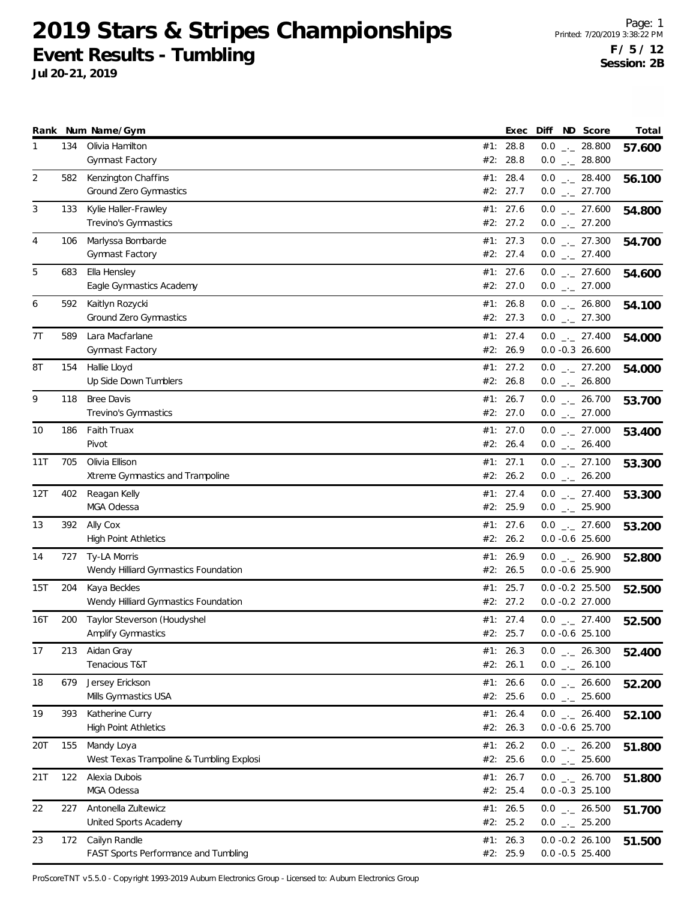**Jul 20-21, 2019**

|     |     | Rank Num Name/Gym                                      |     | Exec                 | Diff ND Score                         | Total  |
|-----|-----|--------------------------------------------------------|-----|----------------------|---------------------------------------|--------|
| 1   | 134 | Olivia Hamilton<br>Gymnast Factory                     | #2: | #1: 28.8<br>28.8     | $0.0$ _ 28.800<br>$0.0$ _ 28.800      | 57.600 |
| 2   | 582 | Kenzington Chaffins                                    |     | #1: 28.4             |                                       |        |
|     |     | Ground Zero Gymnastics                                 |     | #2: 27.7             | $0.0$ _ 28.400<br>$0.0$ $_{-}$ 27.700 | 56.100 |
| 3   | 133 | Kylie Haller-Frawley                                   |     | #1: 27.6             | $0.0$ _ 27.600                        | 54.800 |
|     |     | Trevino's Gymnastics                                   |     | #2: 27.2             | $0.0$ _ 27.200                        |        |
| 4   | 106 | Marlyssa Bombarde                                      |     | #1: 27.3             | $0.0$ _ 27.300                        | 54.700 |
|     |     | <b>Gymnast Factory</b>                                 |     | #2: 27.4             | $0.0$ $_{\leftarrow}$ 27.400          |        |
| 5   | 683 | Ella Hensley                                           |     | #1: 27.6             | $0.0$ _ 27.600                        | 54.600 |
|     |     | Eagle Gymnastics Academy                               |     | #2: 27.0             | $0.0$ $_{\leftarrow}$ 27.000          |        |
| 6   | 592 | Kaitlyn Rozycki                                        |     | #1: 26.8             | $0.0$ _ 26.800                        | 54.100 |
|     |     | Ground Zero Gymnastics                                 |     | #2: 27.3             | $0.0$ $_{-}$ 27.300                   |        |
| 7T  | 589 | Lara Macfarlane<br>Gymnast Factory                     |     | #1: 27.4<br>#2: 26.9 | $0.0$ _ 27.400<br>$0.0 - 0.3 26.600$  | 54.000 |
| 8Τ  | 154 | Hallie Lloyd                                           |     | #1: 27.2             | $0.0$ _ 27.200                        |        |
|     |     | Up Side Down Tumblers                                  |     | #2: 26.8             | $0.0$ _._ 26.800                      | 54.000 |
| 9   | 118 | <b>Bree Davis</b>                                      |     | #1: 26.7             | $0.0$ _ 26.700                        | 53.700 |
|     |     | Trevino's Gymnastics                                   |     | #2: 27.0             | $0.0$ _ 27.000                        |        |
| 10  | 186 | Faith Truax                                            |     | #1: 27.0             | $0.0$ _ 27.000                        | 53.400 |
|     |     | Pivot                                                  |     | #2: 26.4             | $0.0$ _ 26.400                        |        |
| 11T | 705 | Olivia Ellison                                         |     | #1: 27.1             | $0.0$ $_{\leftarrow}$ 27.100          | 53.300 |
|     |     | Xtreme Gymnastics and Trampoline                       |     | #2: 26.2             | $0.0$ _ 26.200                        |        |
| 12T | 402 | Reagan Kelly                                           |     | #1: 27.4             | $0.0$ _ 27.400                        | 53.300 |
|     |     | MGA Odessa                                             |     | #2: 25.9             | $0.0$ $_{-}$ 25.900                   |        |
| 13  | 392 | Ally Cox<br><b>High Point Athletics</b>                |     | #1: 27.6<br>#2: 26.2 | $0.0$ _ 27.600<br>$0.0 -0.6$ 25.600   | 53.200 |
|     |     |                                                        |     |                      |                                       |        |
| 14  | 727 | Ty-LA Morris<br>Wendy Hilliard Gymnastics Foundation   |     | #1: 26.9<br>#2: 26.5 | $0.0$ _ 26.900<br>$0.0 - 0.6$ 25.900  | 52.800 |
| 15T | 204 | Kaya Beckles                                           |     | #1: 25.7             | $0.0 -0.2$ 25.500                     | 52.500 |
|     |     | Wendy Hilliard Gymnastics Foundation                   |     | #2: 27.2             | $0.0 -0.2$ 27.000                     |        |
| 16T | 200 | Taylor Steverson (Houdyshel                            |     | #1: 27.4             | $0.0$ $_{-}$ 27.400                   | 52.500 |
|     |     | Amplify Gymnastics                                     |     | #2: 25.7             | $0.0 -0.6$ 25.100                     |        |
| 17  | 213 | Aidan Gray                                             |     | #1: 26.3             | $0.0$ _ 26.300                        | 52.400 |
|     |     | Tenacious T&T                                          |     | #2: 26.1             | $0.0$ _ 26.100                        |        |
| 18  | 679 | Jersey Erickson                                        |     | #1: $26.6$           | $0.0$ _ 26.600                        | 52.200 |
|     |     | Mills Gymnastics USA                                   |     | #2: 25.6             | $0.0$ _ 25.600                        |        |
| 19  | 393 | Katherine Curry                                        |     | #1: 26.4             | $0.0$ _ 26.400                        | 52.100 |
|     |     | <b>High Point Athletics</b>                            |     | #2: 26.3             | $0.0 -0.6$ 25.700                     |        |
| 20T | 155 | Mandy Loya<br>West Texas Trampoline & Tumbling Explosi |     | #1: 26.2<br>#2: 25.6 | $0.0$ - 26.200<br>$0.0$ _ 25.600      | 51.800 |
| 21T | 122 | Alexia Dubois                                          |     | #1: 26.7             | $0.0$ _ 26.700                        |        |
|     |     | MGA Odessa                                             |     | #2: 25.4             | $0.0 - 0.3$ 25.100                    | 51.800 |
| 22  | 227 | Antonella Zultewicz                                    |     | #1: 26.5             | $0.0$ $_{\leftarrow}$ 26.500          | 51.700 |
|     |     | United Sports Academy                                  |     | #2: 25.2             | $0.0$ _ 25.200                        |        |
| 23  | 172 | Cailyn Randle                                          |     | #1: 26.3             | $0.0 -0.2 26.100$                     | 51.500 |
|     |     | FAST Sports Performance and Tumbling                   |     | #2: 25.9             | $0.0 -0.5$ 25.400                     |        |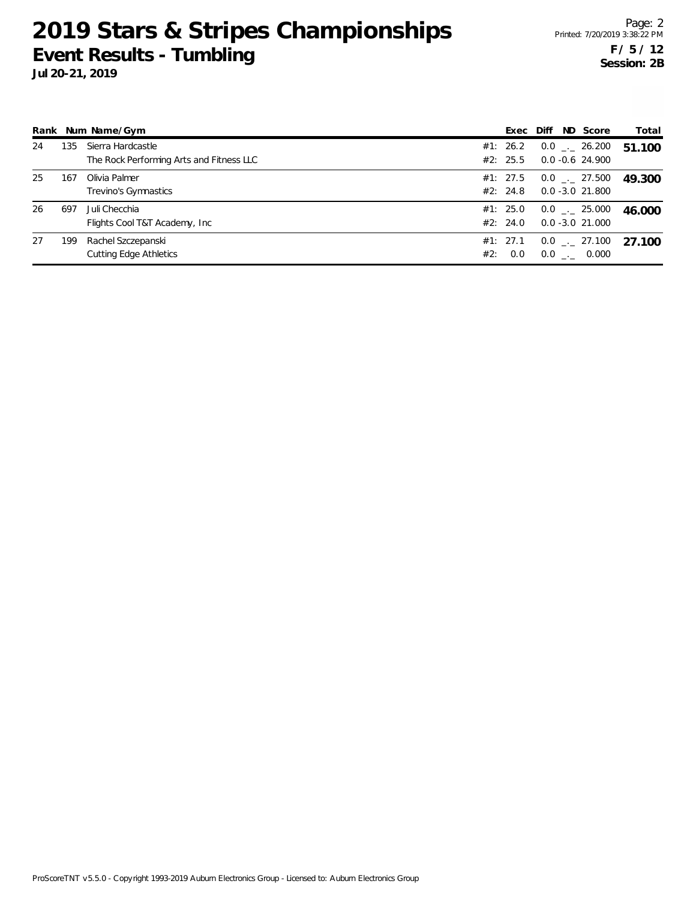**Jul 20-21, 2019**

|    |     | Rank Num Name/Gym                                             |     | Exec                 | ND Score<br>Diff                         | Total  |
|----|-----|---------------------------------------------------------------|-----|----------------------|------------------------------------------|--------|
| 24 | 135 | Sierra Hardcastle<br>The Rock Performing Arts and Fitness LLC |     | #1: 26.2<br>#2: 25.5 | $0.0$ _ 26.200<br>$0.0 - 0.6$ 24.900     | 51.100 |
| 25 | 167 | Olivia Palmer<br>Trevino's Gymnastics                         |     | #1: 27.5<br>#2: 24.8 | $0.0$ _ 27.500<br>$0.0 - 3.0 21.800$     | 49.300 |
| 26 | 697 | Juli Checchia<br>Flights Cool T&T Academy, Inc.               |     | #1: 25.0<br>#2: 24.0 | $0.0$ _ $-$ 25.000<br>$0.0 - 3.0 21.000$ | 46.000 |
| 27 | 199 | Rachel Szczepanski<br><b>Cutting Edge Athletics</b>           | #2: | #1: 27.1<br>0.0      | $0.0$ _ $-$ 27.100<br>$0.0$ _._ 0.000    | 27 100 |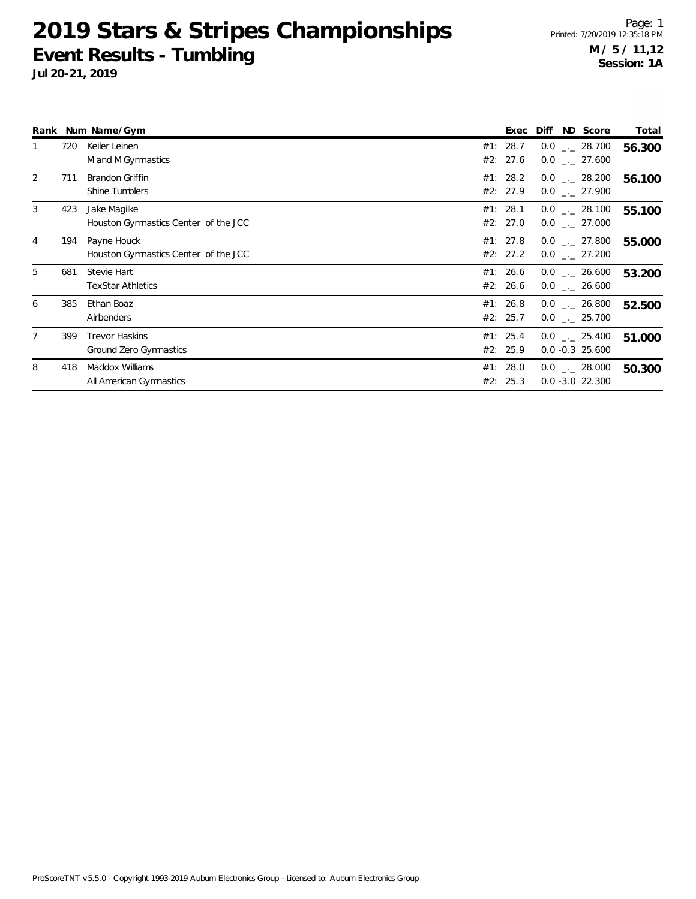|   |     | Rank Num Name/Gym                                    | Exec                 | ND Score<br>Diff                      | Total  |
|---|-----|------------------------------------------------------|----------------------|---------------------------------------|--------|
| 1 | 720 | Keiler Leinen<br>M and M Gymnastics                  | #1: 28.7<br>#2: 27.6 | $0.0$ _._ 28.700<br>$0.0$ _._ 27.600  | 56.300 |
| 2 | 711 | Brandon Griffin<br>Shine Tumblers                    | #1: 28.2<br>#2: 27.9 | $0.0$ _ 28.200<br>$0.0$ _._ 27.900    | 56.100 |
| 3 | 423 | Jake Magilke<br>Houston Gymnastics Center of the JCC | #1: 28.1<br>#2: 27.0 | $0.0$ _._ 28.100<br>$0.0$ _ 27.000    | 55.100 |
| 4 | 194 | Payne Houck<br>Houston Gymnastics Center of the JCC  | #1: 27.8<br>#2: 27.2 | $0.0$ _ 27.800<br>$0.0$ _ 27.200      | 55.000 |
| 5 | 681 | Stevie Hart<br><b>TexStar Athletics</b>              | #1: 26.6<br>#2: 26.6 | $0.0$ _._ 26.600<br>$0.0$ _._ 26.600  | 53.200 |
| 6 | 385 | Ethan Boaz<br>Airbenders                             | #1: 26.8<br>#2: 25.7 | $0.0$ _._ 26.800<br>$0.0$ _ 25.700    | 52.500 |
| 7 | 399 | <b>Trevor Haskins</b><br>Ground Zero Gymnastics      | #1: 25.4<br>#2: 25.9 | $0.0$ _._ 25.400<br>$0.0 -0.3$ 25.600 | 51.000 |
| 8 | 418 | Maddox Williams<br>All American Gymnastics           | #1: 28.0<br>#2: 25.3 | $0.0$ _ 28.000<br>$0.0 - 3.0 22.300$  | 50.300 |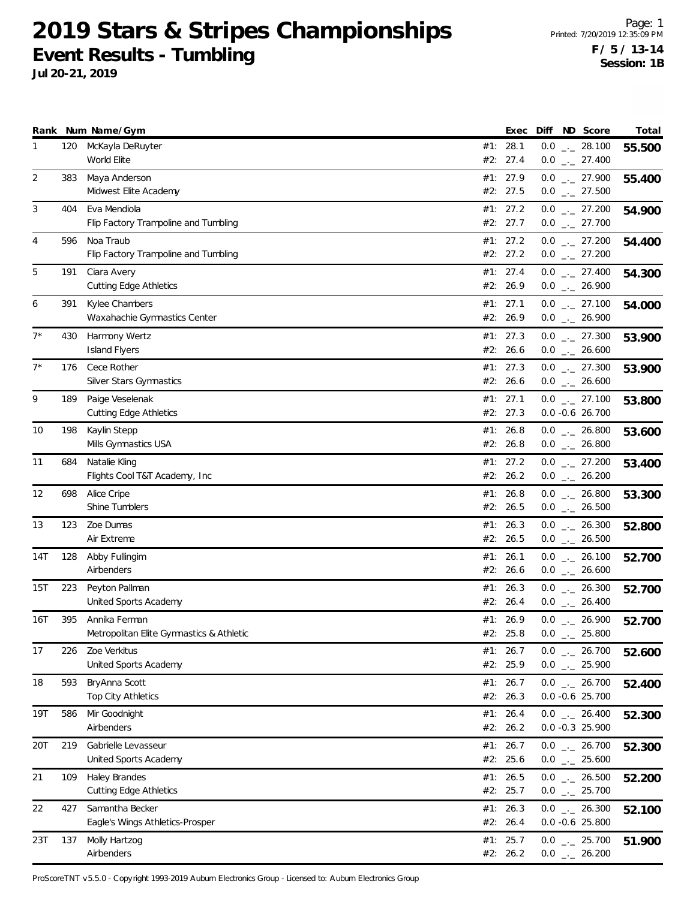**Jul 20-21, 2019**

|                |     | Rank Num Name/Gym                                         |     | Exec                   |     | Diff ND Score                                                | Total  |
|----------------|-----|-----------------------------------------------------------|-----|------------------------|-----|--------------------------------------------------------------|--------|
| 1              | 120 | McKayla DeRuyter<br>World Elite                           |     | #1: 28.1<br>#2: 27.4   |     | $0.0$ _ 28.100<br>$0.0$ $_{-}$ 27.400                        | 55.500 |
| $\overline{2}$ | 383 | Maya Anderson<br>Midwest Elite Academy                    |     | #1: 27.9<br>#2: 27.5   |     | $0.0$ $_{-}$ 27.900<br>$0.0$ $_{\leftarrow}$ 27.500          | 55.400 |
| 3              | 404 | Eva Mendiola<br>Flip Factory Trampoline and Tumbling      |     | #1: $27.2$<br>#2: 27.7 |     | $0.0$ _ 27.200<br>$0.0$ $_{\leftarrow}$ 27.700               | 54.900 |
| 4              | 596 | Noa Traub<br>Flip Factory Trampoline and Tumbling         |     | #1: 27.2<br>#2: 27.2   |     | $0.0$ _ 27.200<br>$0.0$ $_{-}$ 27.200                        | 54.400 |
| 5              | 191 | Ciara Avery<br><b>Cutting Edge Athletics</b>              |     | #1: 27.4<br>#2: 26.9   |     | $0.0$ _ 27.400<br>$0.0$ $_{\leftarrow}$ 26.900               | 54.300 |
| 6              | 391 | Kylee Chambers<br>Waxahachie Gymnastics Center            |     | #1: 27.1<br>#2: 26.9   |     | $0.0$ _ 27.100<br>$0.0$ _ 26.900                             | 54.000 |
| $7^*$          | 430 | Harmony Wertz<br><b>Island Flyers</b>                     |     | #1: 27.3<br>#2: 26.6   |     | $0.0$ _ 27.300<br>$0.0$ _ 26.600                             | 53.900 |
| $7^*$          | 176 | Cece Rother<br><b>Silver Stars Gymnastics</b>             |     | #1: 27.3<br>#2: 26.6   |     | $0.0$ _ 27.300<br>$0.0$ _ 26.600                             | 53.900 |
| 9              | 189 | Paige Veselenak<br><b>Cutting Edge Athletics</b>          |     | #1: 27.1<br>#2: 27.3   |     | $0.0$ _ 27.100<br>$0.0 -0.6 26.700$                          | 53.800 |
| 10             | 198 | Kaylin Stepp<br>Mills Gymnastics USA                      |     | #1: 26.8<br>#2: 26.8   |     | $0.0$ _ 26.800<br>$0.0$ _ 26.800                             | 53.600 |
| 11             | 684 | Natalie Kling<br>Flights Cool T&T Academy, Inc            |     | #1: 27.2<br>#2: 26.2   |     | $0.0$ $_{\leftarrow}$ 27.200<br>$0.0$ _ 26.200               | 53.400 |
| 12             | 698 | Alice Cripe<br>Shine Tumblers                             | #1: | 26.8<br>#2: 26.5       |     | $0.0$ _ 26.800<br>$0.0$ _ 26.500                             | 53.300 |
| 13             | 123 | Zoe Dumas<br>Air Extreme                                  |     | #1: 26.3<br>#2: 26.5   |     | $0.0$ $_{\leftarrow}$ 26.300<br>$0.0$ $_{\leftarrow}$ 26.500 | 52.800 |
| 14T            | 128 | Abby Fullingim<br>Airbenders                              |     | #1: 26.1<br>#2: 26.6   |     | $0.0$ _ 26.100<br>$0.0$ _ 26.600                             | 52.700 |
| 15T            | 223 | Peyton Pallman<br>United Sports Academy                   | #1: | 26.3<br>#2: 26.4       |     | $0.0$ _ 26.300<br>$0.0$ _ 26.400                             | 52.700 |
| 16T            | 395 | Annika Ferman<br>Metropolitan Elite Gymnastics & Athletic |     | #1: 26.9<br>#2: 25.8   | 0.0 | $0.0$ $_{\leftarrow}$ 26.900<br>25.800<br>$-1$               | 52.700 |
| 17             | 226 | Zoe Verkitus<br>United Sports Academy                     |     | #1: 26.7<br>#2: 25.9   |     | $0.0$ _ 26.700<br>$0.0$ _ 25.900                             | 52.600 |
| 18             | 593 | BryAnna Scott<br>Top City Athletics                       |     | #1: $26.7$<br>#2: 26.3 |     | $0.0$ $_{\leftarrow}$ 26.700<br>$0.0 - 0.6$ 25.700           | 52.400 |
| 19T            | 586 | Mir Goodnight<br>Airbenders                               |     | #1: 26.4<br>#2: 26.2   |     | $0.0$ _ 26.400<br>$0.0 -0.3$ 25.900                          | 52.300 |
| 20T            | 219 | Gabrielle Levasseur<br>United Sports Academy              |     | #1: 26.7<br>#2: 25.6   |     | $0.0$ _ 26.700<br>$0.0$ _ 25.600                             | 52.300 |
| 21             | 109 | Haley Brandes<br><b>Cutting Edge Athletics</b>            |     | #1: 26.5<br>#2: 25.7   |     | $0.0$ $_{\leftarrow}$ 26.500<br>$0.0$ _ 25.700               | 52.200 |
| 22             | 427 | Samantha Becker<br>Eagle's Wings Athletics-Prosper        |     | #1: 26.3<br>#2: 26.4   |     | $0.0$ _ 26.300<br>$0.0 -0.6$ 25.800                          | 52.100 |
| 23T            | 137 | Molly Hartzog<br>Airbenders                               |     | #1: 25.7<br>#2: 26.2   |     | $0.0$ _ 25.700<br>$0.0$ _ 26.200                             | 51.900 |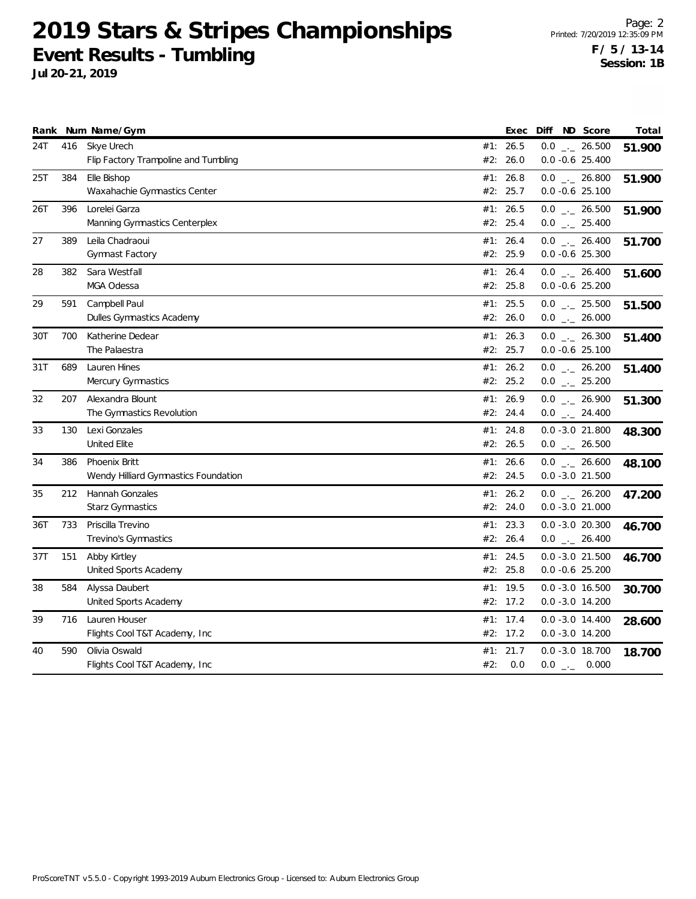|     |     | Rank Num Name/Gym                                     |     | Exec                 | Diff ND Score                            | Total  |
|-----|-----|-------------------------------------------------------|-----|----------------------|------------------------------------------|--------|
| 24T | 416 | Skye Urech<br>Flip Factory Trampoline and Tumbling    |     | #1: 26.5<br>#2: 26.0 | $0.0$ _ 26.500<br>$0.0 -0.6$ 25.400      | 51.900 |
| 25T | 384 | Elle Bishop<br>Waxahachie Gymnastics Center           |     | #1: 26.8<br>#2: 25.7 | $0.0$ _ 26.800<br>$0.0 -0.6$ 25.100      | 51.900 |
| 26T | 396 | Lorelei Garza<br>Manning Gymnastics Centerplex        |     | #1: 26.5<br>#2: 25.4 | $0.0$ _ 26.500<br>$0.0$ _ 25.400         | 51.900 |
| 27  | 389 | Leila Chadraoui<br>Gymnast Factory                    |     | #1: 26.4<br>#2: 25.9 | $0.0$ _ 26.400<br>$0.0 - 0.6$ 25.300     | 51.700 |
| 28  | 382 | Sara Westfall<br>MGA Odessa                           |     | #1: 26.4<br>#2: 25.8 | $0.0$ _ 26.400<br>$0.0 -0.6$ 25.200      | 51.600 |
| 29  | 591 | Campbell Paul<br>Dulles Gymnastics Academy            |     | #1: 25.5<br>#2: 26.0 | $0.0$ _ 25.500<br>$0.0$ _ 26.000         | 51.500 |
| 30T | 700 | Katherine Dedear<br>The Palaestra                     |     | #1: 26.3<br>#2: 25.7 | $0.0$ _ 26.300<br>$0.0 - 0.6$ 25.100     | 51.400 |
| 31T | 689 | Lauren Hines<br>Mercury Gymnastics                    |     | #1: 26.2<br>#2: 25.2 | $0.0$ _ 26.200<br>$0.0$ _ 25.200         | 51.400 |
| 32  | 207 | Alexandra Blount<br>The Gymnastics Revolution         |     | #1: 26.9<br>#2: 24.4 | $0.0$ _ 26.900<br>$0.0$ _ 24.400         | 51.300 |
| 33  | 130 | Lexi Gonzales<br>United Elite                         |     | #1: 24.8<br>#2: 26.5 | $0.0 - 3.0 21.800$<br>$0.0$ _ 26.500     | 48.300 |
| 34  | 386 | Phoenix Britt<br>Wendy Hilliard Gymnastics Foundation |     | #1: 26.6<br>#2: 24.5 | $0.0$ _ 26.600<br>$0.0 - 3.0 21.500$     | 48.100 |
| 35  | 212 | Hannah Gonzales<br><b>Starz Gymnastics</b>            |     | #1: 26.2<br>#2: 24.0 | $0.0$ _ 26.200<br>$0.0 - 3.0 21.000$     | 47.200 |
| 36T | 733 | Priscilla Trevino<br>Trevino's Gymnastics             |     | #1: 23.3<br>#2: 26.4 | $0.0 - 3.0 20.300$<br>$0.0$ _ 26.400     | 46.700 |
| 37T | 151 | Abby Kirtley<br>United Sports Academy                 |     | #1: 24.5<br>#2: 25.8 | $0.0 - 3.0 21.500$<br>$0.0 - 0.6$ 25.200 | 46.700 |
| 38  | 584 | Alyssa Daubert<br>United Sports Academy               |     | #1: 19.5<br>#2: 17.2 | $0.0 - 3.0 16.500$<br>$0.0 - 3.0 14.200$ | 30.700 |
| 39  | 716 | Lauren Houser<br>Flights Cool T&T Academy, Inc        | #1: | 17.4<br>#2: 17.2     | $0.0 - 3.0 14.400$<br>$0.0 - 3.0 14.200$ | 28.600 |
| 40  | 590 | Olivia Oswald<br>Flights Cool T&T Academy, Inc.       | #2: | #1: 21.7<br>0.0      | $0.0 - 3.0 18.700$<br>$0.0$ _._ 0.000    | 18.700 |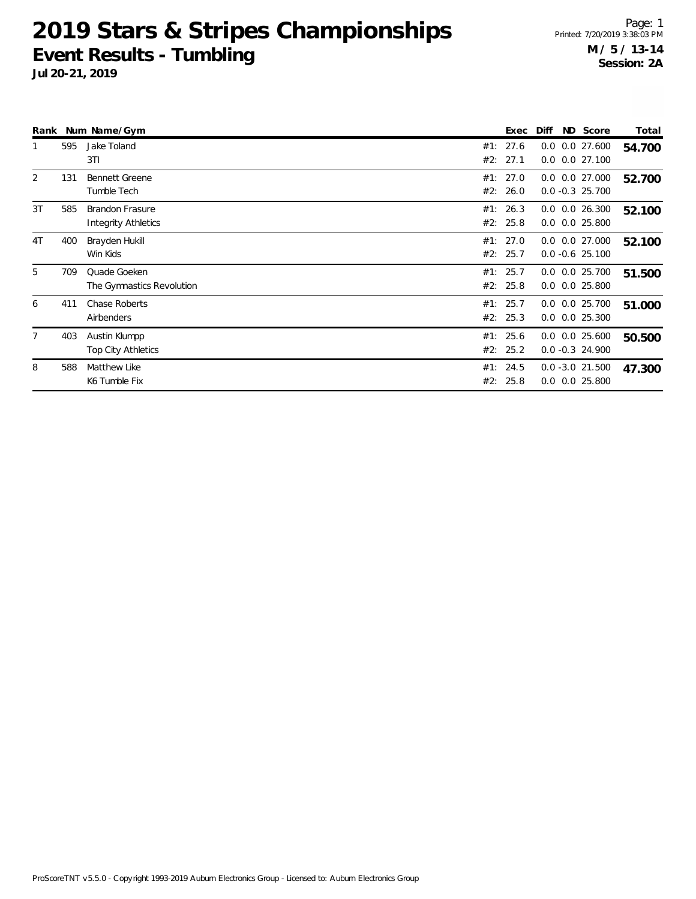**Jul 20-21, 2019**

Page: 1 Printed: 7/20/2019 3:38:03 PM **M / 5 / 13-14 Session: 2A**

|                |     | Rank Num Name/Gym                             | ND Score<br>Exec<br>Diff                                               | Total  |
|----------------|-----|-----------------------------------------------|------------------------------------------------------------------------|--------|
|                | 595 | Jake Toland<br>3T1                            | 27.6<br>$0.0$ $0.0$ 27.600<br>#1:<br>27.1<br>#2:<br>$0.0$ $0.0$ 27.100 | 54.700 |
| 2              | 131 | <b>Bennett Greene</b><br>Tumble Tech          | #1: 27.0<br>$0.0$ $0.0$ 27.000<br>#2: 26.0<br>$0.0 -0.3$ 25.700        | 52.700 |
| 3T             | 585 | <b>Brandon Frasure</b><br>Integrity Athletics | #1: 26.3<br>$0.0$ $0.0$ 26.300<br>#2: 25.8<br>$0.0$ $0.0$ 25.800       | 52.100 |
| 4T             | 400 | Brayden Hukill<br>Win Kids                    | #1: 27.0<br>$0.0$ $0.0$ 27.000<br>#2: 25.7<br>$0.0 -0.6$ 25.100        | 52.100 |
| 5              | 709 | Quade Goeken<br>The Gymnastics Revolution     | #1: 25.7<br>$0.0$ $0.0$ 25.700<br>#2: 25.8<br>$0.0$ $0.0$ 25.800       | 51.500 |
| 6              | 411 | <b>Chase Roberts</b><br>Airbenders            | #1: 25.7<br>$0.0$ $0.0$ $25.700$<br>#2: 25.3<br>$0.0$ $0.0$ 25.300     | 51.000 |
| $\overline{7}$ | 403 | Austin Klumpp<br><b>Top City Athletics</b>    | #1: 25.6<br>$0.0$ $0.0$ 25.600<br>#2: 25.2<br>$0.0 - 0.3$ 24.900       | 50.500 |
| 8              | 588 | Matthew Like<br>K6 Tumble Fix                 | 24.5<br>$0.0 - 3.0 21.500$<br>#1:<br>25.8<br>$0.0$ $0.0$ 25.800<br>#2: | 47.300 |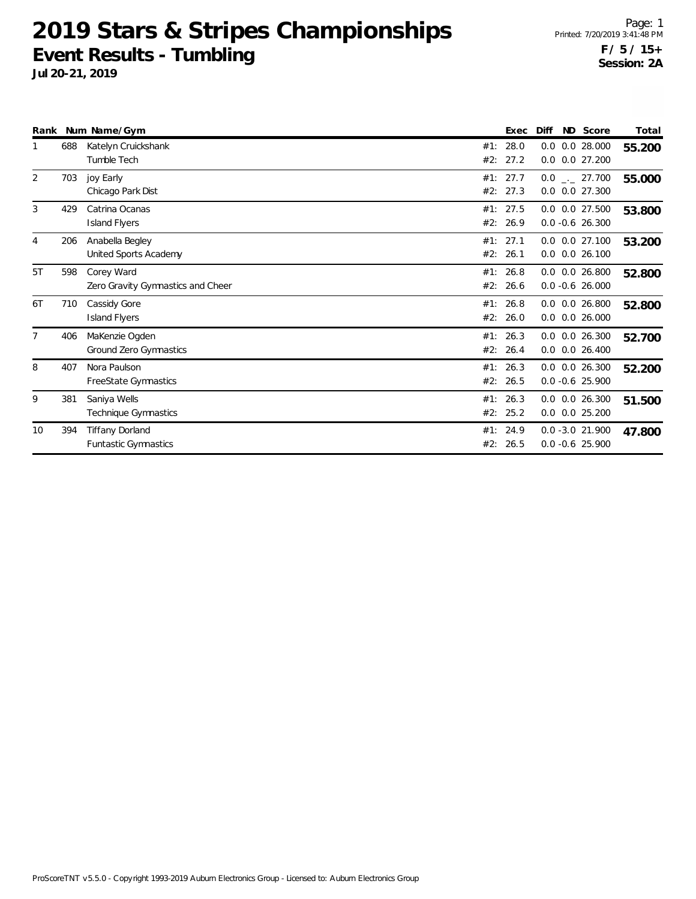|    |     | Rank Num Name/Gym                                     |            | Exec             | Diff | ND Score                                 | Total  |
|----|-----|-------------------------------------------------------|------------|------------------|------|------------------------------------------|--------|
|    | 688 | Katelyn Cruickshank<br>Tumble Tech                    | #1:<br>#2: | 28.0<br>27.2     | 0.0  | $0.0$ $0.0$ 28.000<br>0.027.200          | 55.200 |
| 2  | 703 | joy Early<br>Chicago Park Dist                        | #2:        | #1: 27.7<br>27.3 |      | $0.0$ _ 27.700<br>$0.0$ $0.0$ 27.300     | 55.000 |
| 3  | 429 | Catrina Ocanas<br><b>Island Flyers</b>                | #1:<br>#2: | 27.5<br>26.9     |      | 0.0 0.0 27.500<br>$0.0 - 0.6$ 26.300     | 53.800 |
| 4  | 206 | Anabella Begley<br>United Sports Academy              | #1:<br>#2: | 27.1<br>26.1     |      | $0.0$ $0.0$ 27.100<br>$0.0$ $0.0$ 26.100 | 53.200 |
| 5T | 598 | Corey Ward<br>Zero Gravity Gymnastics and Cheer       | #1:<br>#2: | 26.8<br>26.6     |      | $0.0$ $0.0$ 26.800<br>$0.0 - 0.6$ 26.000 | 52.800 |
| 6T | 710 | Cassidy Gore<br><b>Island Flyers</b>                  | #1:<br>#2: | 26.8<br>26.0     |      | $0.0$ $0.0$ 26.800<br>$0.0$ $0.0$ 26.000 | 52.800 |
|    | 406 | MaKenzie Ogden<br>Ground Zero Gymnastics              | #2:        | #1: 26.3<br>26.4 |      | $0.0$ $0.0$ 26.300<br>$0.0$ $0.0$ 26.400 | 52.700 |
| 8  | 407 | Nora Paulson<br>FreeState Gymnastics                  | #1:<br>#2: | 26.3<br>26.5     |      | $0.0$ $0.0$ 26.300<br>$0.0 - 0.6$ 25.900 | 52.200 |
| 9  | 381 | Saniya Wells<br>Technique Gymnastics                  | #2:        | #1: 26.3<br>25.2 |      | $0.0$ $0.0$ 26.300<br>$0.0$ $0.0$ 25.200 | 51.500 |
| 10 | 394 | <b>Tiffany Dorland</b><br><b>Funtastic Gymnastics</b> | #1:<br>#2: | 24.9<br>26.5     |      | $0.0 - 3.0 21.900$<br>$0.0 - 0.6$ 25.900 | 47.800 |